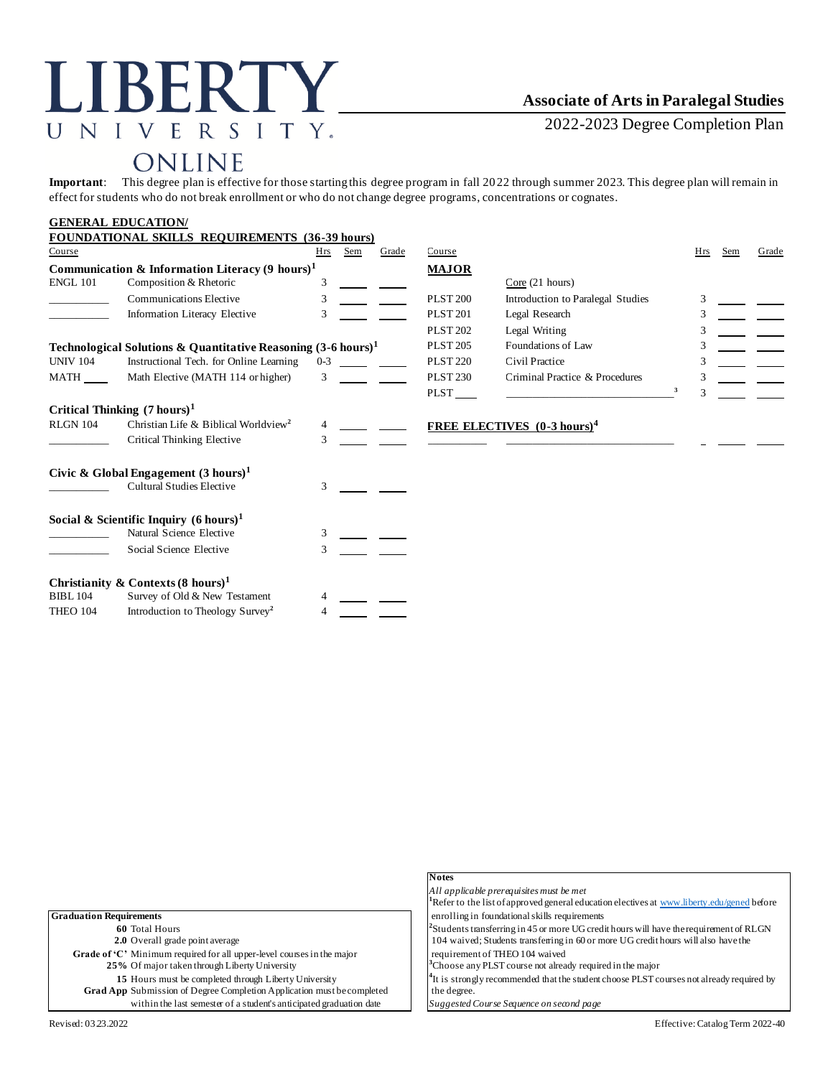# LIBERTY\_ UNIVERSITY.

## **Associate of Arts in Paralegal Studies**

2022-2023 Degree Completion Plan

# ONLINE

**Important**: This degree plan is effective for those starting this degree program in fall 2022 through summer 2023. This degree plan will remain in effect for students who do not break enrollment or who do not change degree programs, concentrations or cognates.

### **GENERAL EDUCATION/**

|                                                                          | FOUNDATIONAL SKILLS REQUIREMENTS (36-39 hours)             |         |     |       |                 |                                                |   |            |     |       |
|--------------------------------------------------------------------------|------------------------------------------------------------|---------|-----|-------|-----------------|------------------------------------------------|---|------------|-----|-------|
| Course                                                                   |                                                            | Hrs     | Sem | Grade | Course          |                                                |   | <b>Hrs</b> | Sem | Grade |
|                                                                          | Communication & Information Literacy $(9 \text{ hours})^1$ |         |     |       | <b>MAJOR</b>    |                                                |   |            |     |       |
| <b>ENGL 101</b>                                                          | Composition & Rhetoric                                     | 3       |     |       |                 | Core(21 hours)                                 |   |            |     |       |
|                                                                          | Communications Elective                                    | 3       |     |       | <b>PLST 200</b> | Introduction to Paralegal Studies              |   | 3          |     |       |
|                                                                          | Information Literacy Elective                              | 3       |     |       | <b>PLST 201</b> | Legal Research                                 |   | 3          |     |       |
|                                                                          |                                                            |         |     |       | <b>PLST 202</b> | Legal Writing                                  |   |            |     |       |
| Technological Solutions & Quantitative Reasoning $(3-6 \text{ hours})^1$ |                                                            |         |     |       | <b>PLST 205</b> | Foundations of Law                             |   | 3          |     |       |
| <b>UNIV 104</b>                                                          | Instructional Tech. for Online Learning                    | $0 - 3$ |     |       | <b>PLST 220</b> | Civil Practice                                 |   |            |     |       |
| <b>MATH</b>                                                              | Math Elective (MATH 114 or higher)                         | 3       |     |       | <b>PLST 230</b> | Criminal Practice & Procedures                 |   | 3          |     |       |
|                                                                          |                                                            |         |     |       | PLST            |                                                | 3 | 3          |     |       |
|                                                                          | Critical Thinking $(7 \text{ hours})^1$                    |         |     |       |                 |                                                |   |            |     |       |
| <b>RLGN 104</b>                                                          | Christian Life & Biblical Worldview <sup>2</sup>           |         |     |       |                 | <b>FREE ELECTIVES</b> (0-3 hours) <sup>4</sup> |   |            |     |       |
|                                                                          | Critical Thinking Elective                                 | 3       |     |       |                 |                                                |   |            |     |       |
|                                                                          | Civic & Global Engagement $(3 \text{ hours})^1$            |         |     |       |                 |                                                |   |            |     |       |
|                                                                          | <b>Cultural Studies Elective</b>                           | 3       |     |       |                 |                                                |   |            |     |       |
|                                                                          | Social & Scientific Inquiry $(6 \text{ hours})^1$          |         |     |       |                 |                                                |   |            |     |       |
|                                                                          | Natural Science Elective                                   | 3       |     |       |                 |                                                |   |            |     |       |
|                                                                          | Social Science Elective                                    | 3       |     |       |                 |                                                |   |            |     |       |
|                                                                          | Christianity & Contexts $(8 \text{ hours})^1$              |         |     |       |                 |                                                |   |            |     |       |
| <b>BIBL 104</b>                                                          | Survey of Old & New Testament                              |         |     |       |                 |                                                |   |            |     |       |
| THEO 104                                                                 | Introduction to Theology Survey <sup>2</sup>               |         |     |       |                 |                                                |   |            |     |       |

|                                                                        | <b>Notes</b>                                                                                           |
|------------------------------------------------------------------------|--------------------------------------------------------------------------------------------------------|
|                                                                        | All applicable prerequisites must be met                                                               |
|                                                                        | <sup>1</sup> Refer to the list of approved general education electives at www.liberty.edu/gened before |
| <b>Graduation Requirements</b>                                         | enrolling in foundational skills requirements                                                          |
| 60 Total Hours                                                         | $\frac{1}{2}$ Students transferring in 45 or more UG credit hours will have the requirement of RLGN    |
| 2.0 Overall grade point average                                        | 104 waived; Students transferring in 60 or more UG credit hours will also have the                     |
| Grade of 'C' Minimum required for all upper-level courses in the major | requirement of THEO 104 waived                                                                         |
| 25% Of major taken through Liberty University                          | <sup>3</sup> Choose any PLST course not already required in the major                                  |
| 15 Hours must be completed through Liberty University                  | <sup>4</sup> It is strongly recommended that the student choose PLST courses not already required by   |
| Grad App Submission of Degree Completion Application must be completed | the degree.                                                                                            |
| within the last semester of a student's anticipated graduation date    | Suggested Course Sequence on second page                                                               |
| Revised: 03 23 2022                                                    | Effective: Catalog Term 2022-40                                                                        |